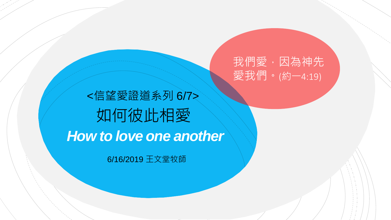我們愛,因為神先 愛我們。(約一4:19)

如何彼此相愛 *How to love one another* <信望愛證道系列 6/7>

6/16/2019 王文堂牧師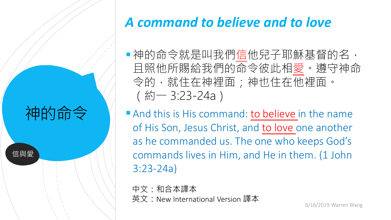# 神的命令

信與愛

### *A command to believe and to love*

■神的命令就是叫我們信他兒子耶穌基督的名, 且照他所賜給我們的命令彼此相愛。遵守神命 令的,就住在神裡面;神也住在他裡面。 (約一 3:23-24a)

And this is His command: to believe in the name of His Son, Jesus Christ, and to love one another as he commanded us. The one who keeps God's commands lives in Him, and He in them. (1 John 3:23-24a)

中文:和合本譯本 英文:New International Version 譯本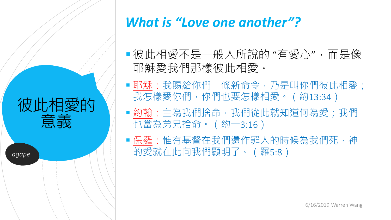彼此相愛的 意義

*agape*

#### *What is "Love one another"?*

- 彼此相愛不是一般人所說的 "有愛心",而是像 耶穌愛我們那樣彼此相愛。
- ■耶穌:我賜給你們一條新命令,乃是叫你們彼此相愛; 我怎樣愛你們,你們也要怎樣相愛。(約13:34)
- 約翰:主為我們捨命,我們從此就知道何為愛;我們 也當為弟兄捨命。(約一3:16)
- ■保羅:惟有基督在我們還作罪人的時候為我們死,神 的愛就在此向我們顯明了。(羅5:8)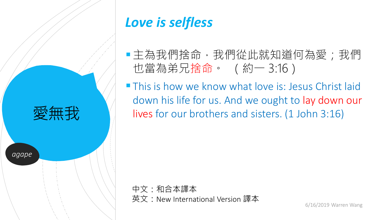

# *Love is selfless*

- 主為我們捨命,我們從此就知道何為愛;我們 也當為弟兄捨命。 (約一 3:16)
- **This is how we know what love is: Jesus Christ laid** down his life for us. And we ought to lay down our lives for our brothers and sisters. (1 John 3:16)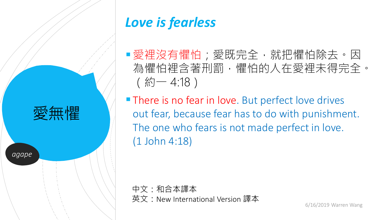

## *Love is fearless*

- ■愛裡沒有懼怕;愛既完全,就把懼怕除去。因 為懼怕裡含著刑罰,懼怕的人在愛裡未得完全。 (約一 4:18)
- **There is no fear in love.** But perfect love drives out fear, because fear has to do with punishment. The one who fears is not made perfect in love. (1 John 4:18)

中文:和合本譯本 英文:New International Version 譯本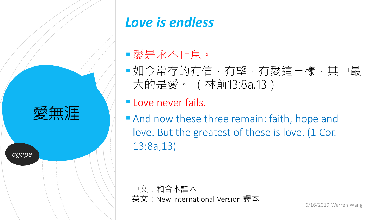

# *Love is endless*

#### 愛是永不止息。

■如今常存的有信,有望,有愛這三樣,其中最 大的是愛。 (林前13:8a,13)

Love never fails.

And now these three remain: faith, hope and love. But the greatest of these is love. (1 Cor. 13:8a,13)

中文:和合本譯本 英文:New International Version 譯本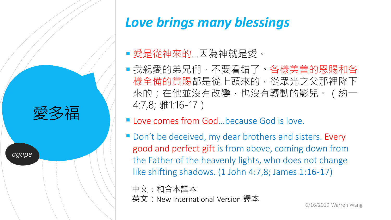

# *Love brings many blessings*

#### 愛是從神來的…因為神就是愛。

- 我親愛的弟兄們,不要看錯了。各樣美善的恩賜和各 樣全備的賞賜都是從上頭來的,從眾光之父那裡降下 來的;在他並沒有改變,也沒有轉動的影兒。(約一 4:7,8; 雅1:16-17)
- **Love comes from God...because God is love.**
- Don't be deceived, my dear brothers and sisters. Every good and perfect gift is from above, coming down from the Father of the heavenly lights, who does not change like shifting shadows. (1 John 4:7,8; James 1:16-17)

中文:和合本譯本 英文:New International Version 譯本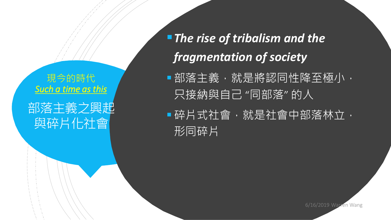現今的時代 *Such a time as this*

## 部落主義之興起 與碎片化社會

*The rise of tribalism and the fragmentation of society*

■部落主義,就是將認同性降至極小, 只接納與自己 "同部落" 的人

|■碎片式社會,就是社會中部落林立, 形同碎片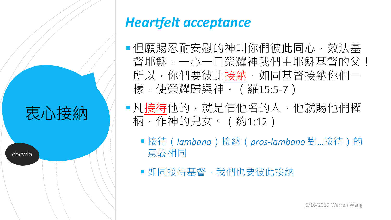# 衷心接納

cbcwla

### *Heartfelt acceptance*

- 但願賜忍耐安慰的神叫你們彼此同心,效法基 督耶穌,一心一口榮耀神我們主耶穌基督的父! 所以,你們要彼此接納,如同基督接納你們一 樣,使榮耀歸與神。(羅15:5-7)
- 凡接待他的,就是信他名的人,他就賜他們權 柄,作神的兒女。 (約1:12)
	- ■接待(*lambano*)接納(*pros-lambano* 對…接待)的 意義相同
	- 如同接待基督,我們也要彼此接納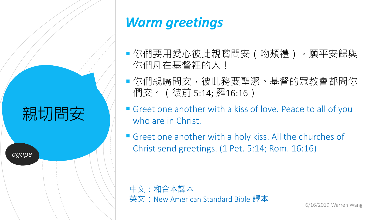親切問安

*agape*

#### *Warm greetings*

- 你們要用愛心彼此親嘴問安(吻頰禮)。願平安歸與 你們凡在基督裡的人!
- ■你們親嘴問安,彼此務要聖潔。基督的眾教會都問你 們安。(彼前 5:14; 羅16:16)
- **Greet one another with a kiss of love. Peace to all of you** who are in Christ.
- Greet one another with a holy kiss. All the churches of Christ send greetings. (1 Pet. 5:14; Rom. 16:16)

中文:和合本譯本 英文:New American Standard Bible 譯本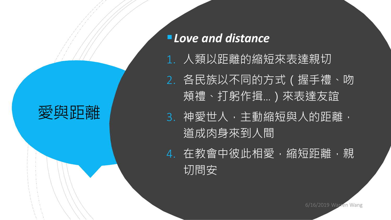愛與距離

*Love and distance*

1. 人類以距離的縮短來表達親切 2. 各民族以不同的方式(握手禮、吻 頰禮、打躬作揖…)來表達友誼 3. 神愛世人,主動縮短與人的距離, 道成肉身來到人間 4. 在教會中彼此相愛,縮短距離,親 切問安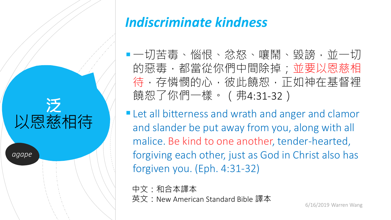**泛** 以恩慈相待 *agape*

### *Indiscriminate kindness*

■一切苦毒、惱恨、忿怒、嚷鬧、毀謗,並一切 的惡毒,都當從你們中間除掉;並要以恩慈相 待,存憐憫的心,彼此饒恕,正如神在基督裡 饒恕了你們一樣。(弗4:31-32)

**Let all bitterness and wrath and anger and clamor** and slander be put away from you, along with all malice. Be kind to one another, tender-hearted, forgiving each other, just as God in Christ also has forgiven you. (Eph. 4:31-32)

中文:和合本譯本 英文:New American Standard Bible 譯本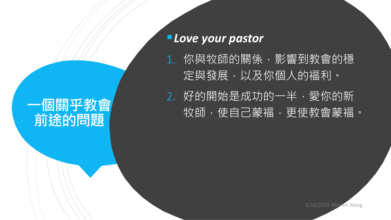## **一個關乎教會 前途的問題**

#### *Love your pastor*

1. 你與牧師的關係,影響到教會的穩 定與發展,以及你個人的福利。 2. 好的開始是成功的一半,愛你的新 牧師,使自己蒙福,更使教會蒙福。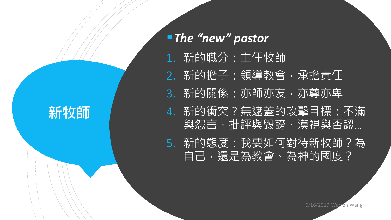**新牧師**

*The "new" pastor* 1. 新的職分:主任牧師 2. 新的擔子:領導教會,承擔責任 3. 新的關係:亦師亦友,亦尊亦卑 4. 新的衝突?無遮蓋的攻擊目標:不滿 與怨言、批評與毀謗、漠視與否認… 5. 新的態度:我要如何對待新牧師?為 自己,還是為教會、為神的國度?